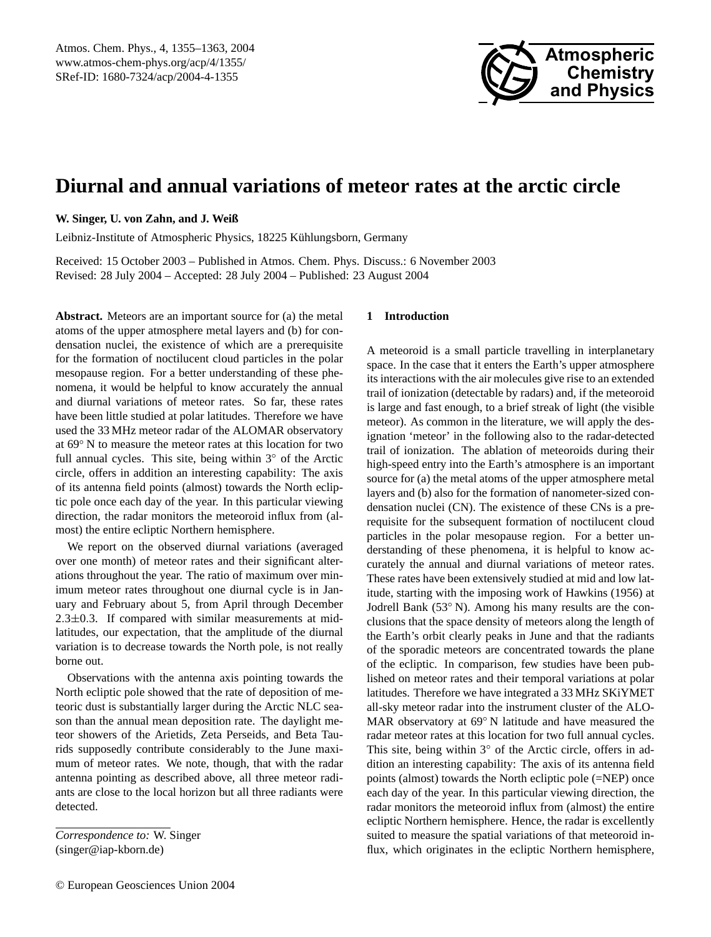

# **Diurnal and annual variations of meteor rates at the arctic circle**

## **W. Singer, U. von Zahn, and J. Weiß**

Leibniz-Institute of Atmospheric Physics, 18225 Kühlungsborn, Germany

Received: 15 October 2003 – Published in Atmos. Chem. Phys. Discuss.: 6 November 2003 Revised: 28 July 2004 – Accepted: 28 July 2004 – Published: 23 August 2004

**Abstract.** Meteors are an important source for (a) the metal atoms of the upper atmosphere metal layers and (b) for condensation nuclei, the existence of which are a prerequisite for the formation of noctilucent cloud particles in the polar mesopause region. For a better understanding of these phenomena, it would be helpful to know accurately the annual and diurnal variations of meteor rates. So far, these rates have been little studied at polar latitudes. Therefore we have used the 33 MHz meteor radar of the ALOMAR observatory at 69◦ N to measure the meteor rates at this location for two full annual cycles. This site, being within 3<sup>°</sup> of the Arctic circle, offers in addition an interesting capability: The axis of its antenna field points (almost) towards the North ecliptic pole once each day of the year. In this particular viewing direction, the radar monitors the meteoroid influx from (almost) the entire ecliptic Northern hemisphere.

We report on the observed diurnal variations (averaged over one month) of meteor rates and their significant alterations throughout the year. The ratio of maximum over minimum meteor rates throughout one diurnal cycle is in January and February about 5, from April through December 2.3±0.3. If compared with similar measurements at midlatitudes, our expectation, that the amplitude of the diurnal variation is to decrease towards the North pole, is not really borne out.

Observations with the antenna axis pointing towards the North ecliptic pole showed that the rate of deposition of meteoric dust is substantially larger during the Arctic NLC season than the annual mean deposition rate. The daylight meteor showers of the Arietids, Zeta Perseids, and Beta Taurids supposedly contribute considerably to the June maximum of meteor rates. We note, though, that with the radar antenna pointing as described above, all three meteor radiants are close to the local horizon but all three radiants were detected.

## **1 Introduction**

A meteoroid is a small particle travelling in interplanetary space. In the case that it enters the Earth's upper atmosphere its interactions with the air molecules give rise to an extended trail of ionization (detectable by radars) and, if the meteoroid is large and fast enough, to a brief streak of light (the visible meteor). As common in the literature, we will apply the designation 'meteor' in the following also to the radar-detected trail of ionization. The ablation of meteoroids during their high-speed entry into the Earth's atmosphere is an important source for (a) the metal atoms of the upper atmosphere metal layers and (b) also for the formation of nanometer-sized condensation nuclei (CN). The existence of these CNs is a prerequisite for the subsequent formation of noctilucent cloud particles in the polar mesopause region. For a better understanding of these phenomena, it is helpful to know accurately the annual and diurnal variations of meteor rates. These rates have been extensively studied at mid and low latitude, starting with the imposing work of Hawkins (1956) at Jodrell Bank (53◦ N). Among his many results are the conclusions that the space density of meteors along the length of the Earth's orbit clearly peaks in June and that the radiants of the sporadic meteors are concentrated towards the plane of the ecliptic. In comparison, few studies have been published on meteor rates and their temporal variations at polar latitudes. Therefore we have integrated a 33 MHz SKiYMET all-sky meteor radar into the instrument cluster of the ALO-MAR observatory at 69◦ N latitude and have measured the radar meteor rates at this location for two full annual cycles. This site, being within 3◦ of the Arctic circle, offers in addition an interesting capability: The axis of its antenna field points (almost) towards the North ecliptic pole (=NEP) once each day of the year. In this particular viewing direction, the radar monitors the meteoroid influx from (almost) the entire ecliptic Northern hemisphere. Hence, the radar is excellently suited to measure the spatial variations of that meteoroid influx, which originates in the ecliptic Northern hemisphere,

*Correspondence to:* W. Singer (singer@iap-kborn.de)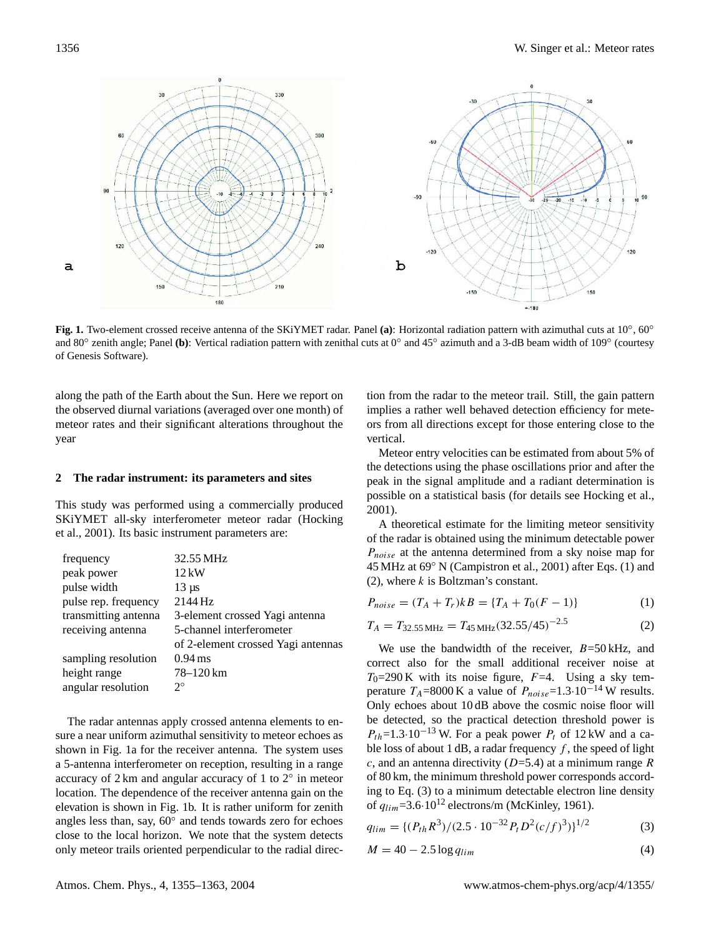

**Fig. 1.** Two-element crossed receive antenna of the SKiYMET radar. Panel **(a)**: Horizontal radiation pattern with azimuthal cuts at 10◦ , 60◦ and 80° zenith angle; Panel (b): Vertical radiation pattern with zenithal cuts at 0° and 45° azimuth and a 3-dB beam width of 109° (courtesy of Genesis Software).

along the path of the Earth about the Sun. Here we report on the observed diurnal variations (averaged over one month) of meteor rates and their significant alterations throughout the year

#### **2 The radar instrument: its parameters and sites**

This study was performed using a commercially produced SKiYMET all-sky interferometer meteor radar (Hocking et al., 2001). Its basic instrument parameters are:

| frequency            | 32.55 MHz                          |
|----------------------|------------------------------------|
| peak power           | 12 kW                              |
| pulse width          | $13 \mu s$                         |
| pulse rep. frequency | 2144 Hz                            |
| transmitting antenna | 3-element crossed Yagi antenna     |
| receiving antenna    | 5-channel interferometer           |
|                      | of 2-element crossed Yagi antennas |
| sampling resolution  | $0.94$ ms                          |
| height range         | 78–120 km                          |
| angular resolution   | $2^{\circ}$                        |
|                      |                                    |

The radar antennas apply crossed antenna elements to ensure a near uniform azimuthal sensitivity to meteor echoes as shown in Fig. 1a for the receiver antenna. The system uses a 5-antenna interferometer on reception, resulting in a range accuracy of 2 km and angular accuracy of 1 to 2◦ in meteor location. The dependence of the receiver antenna gain on the elevation is shown in Fig. 1b. It is rather uniform for zenith angles less than, say,  $60^{\circ}$  and tends towards zero for echoes close to the local horizon. We note that the system detects only meteor trails oriented perpendicular to the radial direction from the radar to the meteor trail. Still, the gain pattern implies a rather well behaved detection efficiency for meteors from all directions except for those entering close to the vertical.

Meteor entry velocities can be estimated from about 5% of the detections using the phase oscillations prior and after the peak in the signal amplitude and a radiant determination is possible on a statistical basis (for details see Hocking et al., 2001).

A theoretical estimate for the limiting meteor sensitivity of the radar is obtained using the minimum detectable power  $P_{noise}$  at the antenna determined from a sky noise map for 45 MHz at 69° N (Campistron et al., 2001) after Eqs. (1) and  $(2)$ , where k is Boltzman's constant.

 $P_{noise} = (T_A + T_r)kB = \{T_A + T_0(F - 1)\}$  (1)

$$
T_A = T_{32.55 \text{ MHz}} = T_{45 \text{ MHz}} (32.55/45)^{-2.5}
$$
 (2)

We use the bandwidth of the receiver,  $B=50$  kHz, and correct also for the small additional receiver noise at  $T_0$ =290 K with its noise figure,  $F=4$ . Using a sky temperature  $T_A$ =8000 K a value of  $P_{noise}$ =1.3·10<sup>-14</sup> W results. Only echoes about 10 dB above the cosmic noise floor will be detected, so the practical detection threshold power is  $P_{th}$ =1.3·10<sup>-13</sup> W. For a peak power  $P_t$  of 12 kW and a cable loss of about 1 dB, a radar frequency  $f$ , the speed of light c, and an antenna directivity ( $D=5.4$ ) at a minimum range R of 80 km, the minimum threshold power corresponds according to Eq. (3) to a minimum detectable electron line density of  $q_{lim}$ =3.6·10<sup>12</sup> electrons/m (McKinley, 1961).

$$
q_{\lim} = \{ (P_{th}R^3)/(2.5 \cdot 10^{-32} P_t D^2 (c/f)^3) \}^{1/2}
$$
 (3)

$$
M = 40 - 2.5 \log q_{lim}
$$
\n<sup>(4)</sup>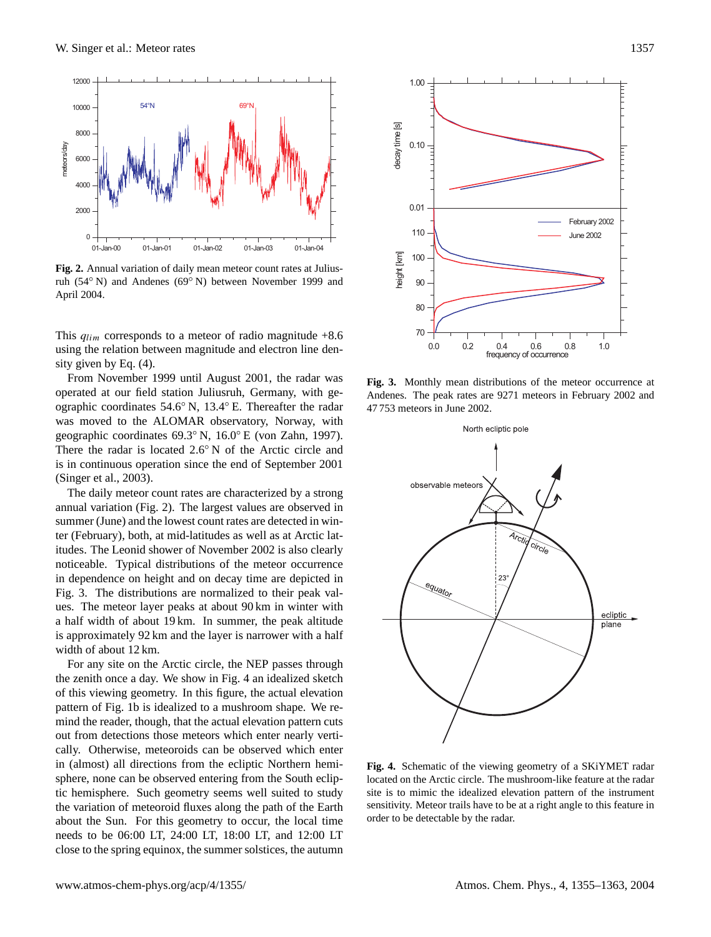

**Fig. 2.** Annual variation of daily mean meteor count rates at Juliusruh (54◦ N) and Andenes (69◦ N) between November 1999 and April 2004.

This  $q_{lim}$  corresponds to a meteor of radio magnitude +8.6 using the relation between magnitude and electron line density given by Eq. (4).

From November 1999 until August 2001, the radar was operated at our field station Juliusruh, Germany, with geographic coordinates 54.6◦ N, 13.4◦ E. Thereafter the radar was moved to the ALOMAR observatory, Norway, with geographic coordinates 69.3◦ N, 16.0◦ E (von Zahn, 1997). There the radar is located 2.6◦ N of the Arctic circle and is in continuous operation since the end of September 2001 (Singer et al., 2003).

The daily meteor count rates are characterized by a strong annual variation (Fig. 2). The largest values are observed in summer (June) and the lowest count rates are detected in winter (February), both, at mid-latitudes as well as at Arctic latitudes. The Leonid shower of November 2002 is also clearly noticeable. Typical distributions of the meteor occurrence in dependence on height and on decay time are depicted in Fig. 3. The distributions are normalized to their peak values. The meteor layer peaks at about 90 km in winter with a half width of about 19 km. In summer, the peak altitude is approximately 92 km and the layer is narrower with a half width of about 12 km.

For any site on the Arctic circle, the NEP passes through the zenith once a day. We show in Fig. 4 an idealized sketch of this viewing geometry. In this figure, the actual elevation pattern of Fig. 1b is idealized to a mushroom shape. We remind the reader, though, that the actual elevation pattern cuts out from detections those meteors which enter nearly vertically. Otherwise, meteoroids can be observed which enter in (almost) all directions from the ecliptic Northern hemisphere, none can be observed entering from the South ecliptic hemisphere. Such geometry seems well suited to study the variation of meteoroid fluxes along the path of the Earth about the Sun. For this geometry to occur, the local time needs to be 06:00 LT, 24:00 LT, 18:00 LT, and 12:00 LT close to the spring equinox, the summer solstices, the autumn



**Fig. 3.** Monthly mean distributions of the meteor occurrence at Andenes. The peak rates are 9271 meteors in February 2002 and 47 753 meteors in June 2002.



**Fig. 4.** Schematic of the viewing geometry of a SKiYMET radar located on the Arctic circle. The mushroom-like feature at the radar site is to mimic the idealized elevation pattern of the instrument sensitivity. Meteor trails have to be at a right angle to this feature in order to be detectable by the radar.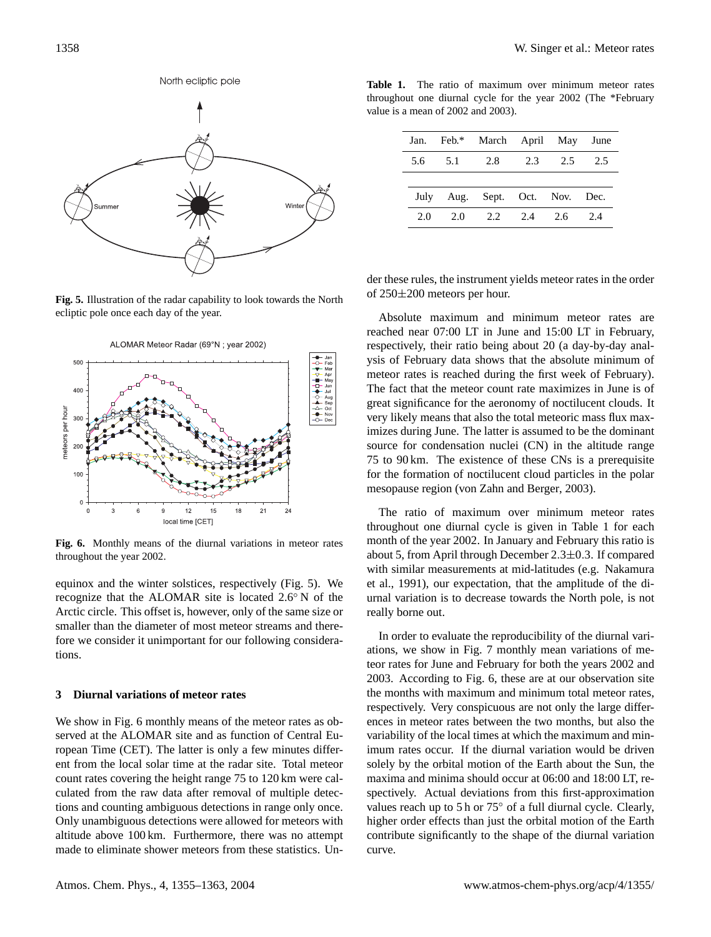



**Fig. 5.** Illustration of the radar capability to look towards the North ecliptic pole once each day of the year.





**Fig. 6.** Monthly means of the diurnal variations in meteor rates throughout the year 2002.

equinox and the winter solstices, respectively (Fig. 5). We recognize that the ALOMAR site is located 2.6◦ N of the Arctic circle. This offset is, however, only of the same size or smaller than the diameter of most meteor streams and therefore we consider it unimportant for our following considerations.

#### **3 Diurnal variations of meteor rates**

We show in Fig. 6 monthly means of the meteor rates as observed at the ALOMAR site and as function of Central European Time (CET). The latter is only a few minutes different from the local solar time at the radar site. Total meteor count rates covering the height range 75 to 120 km were calculated from the raw data after removal of multiple detections and counting ambiguous detections in range only once. Only unambiguous detections were allowed for meteors with altitude above 100 km. Furthermore, there was no attempt made to eliminate shower meteors from these statistics. Un-

**Table 1.** The ratio of maximum over minimum meteor rates throughout one diurnal cycle for the year 2002 (The \*February value is a mean of 2002 and 2003).

| Jan. | Feb.* March April May June     |  |  |
|------|--------------------------------|--|--|
|      | 5.6 5.1 2.8 2.3 2.5 2.5        |  |  |
|      |                                |  |  |
|      | July Aug. Sept. Oct. Nov. Dec. |  |  |
| 2.0  | 2.0 2.2 2.4 2.6 2.4            |  |  |

der these rules, the instrument yields meteor rates in the order of 250±200 meteors per hour.

Absolute maximum and minimum meteor rates are reached near 07:00 LT in June and 15:00 LT in February, respectively, their ratio being about 20 (a day-by-day analysis of February data shows that the absolute minimum of meteor rates is reached during the first week of February). The fact that the meteor count rate maximizes in June is of great significance for the aeronomy of noctilucent clouds. It very likely means that also the total meteoric mass flux maximizes during June. The latter is assumed to be the dominant source for condensation nuclei (CN) in the altitude range 75 to 90 km. The existence of these CNs is a prerequisite for the formation of noctilucent cloud particles in the polar mesopause region (von Zahn and Berger, 2003).

The ratio of maximum over minimum meteor rates throughout one diurnal cycle is given in Table 1 for each month of the year 2002. In January and February this ratio is about 5, from April through December 2.3±0.3. If compared with similar measurements at mid-latitudes (e.g. Nakamura et al., 1991), our expectation, that the amplitude of the diurnal variation is to decrease towards the North pole, is not really borne out.

In order to evaluate the reproducibility of the diurnal variations, we show in Fig. 7 monthly mean variations of meteor rates for June and February for both the years 2002 and 2003. According to Fig. 6, these are at our observation site the months with maximum and minimum total meteor rates, respectively. Very conspicuous are not only the large differences in meteor rates between the two months, but also the variability of the local times at which the maximum and minimum rates occur. If the diurnal variation would be driven solely by the orbital motion of the Earth about the Sun, the maxima and minima should occur at 06:00 and 18:00 LT, respectively. Actual deviations from this first-approximation values reach up to 5 h or 75◦ of a full diurnal cycle. Clearly, higher order effects than just the orbital motion of the Earth contribute significantly to the shape of the diurnal variation curve.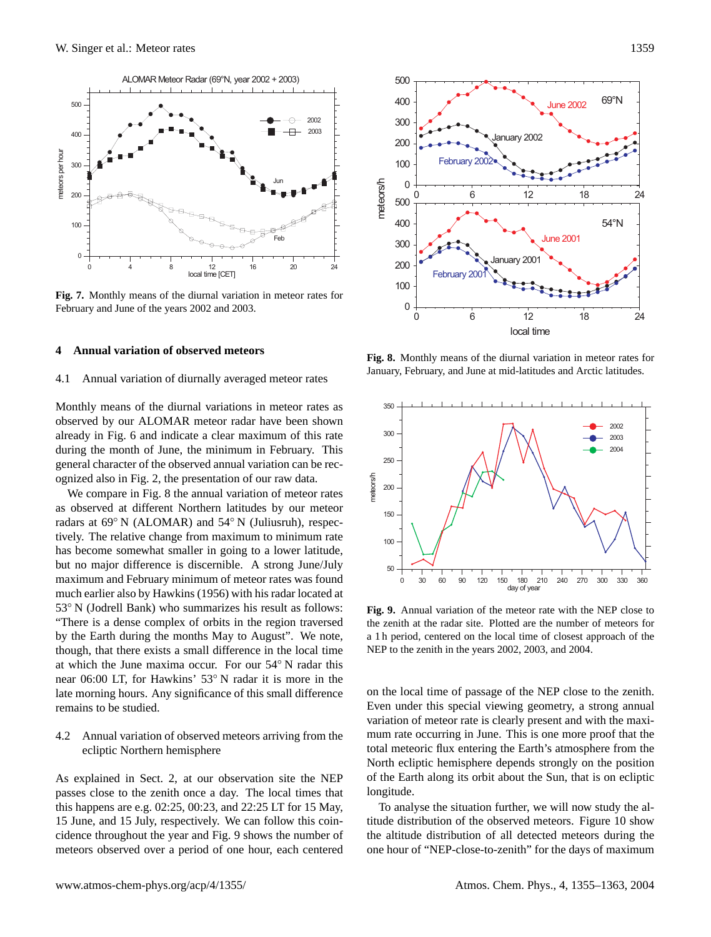

**Fig. 7.** Monthly means of the diurnal variation in meteor rates for February and June of the years 2002 and 2003.

#### **4 Annual variation of observed meteors**

## 4.1 Annual variation of diurnally averaged meteor rates

Monthly means of the diurnal variations in meteor rates as observed by our ALOMAR meteor radar have been shown already in Fig. 6 and indicate a clear maximum of this rate during the month of June, the minimum in February. This general character of the observed annual variation can be recognized also in Fig. 2, the presentation of our raw data.

We compare in Fig. 8 the annual variation of meteor rates as observed at different Northern latitudes by our meteor radars at 69◦ N (ALOMAR) and 54◦ N (Juliusruh), respectively. The relative change from maximum to minimum rate has become somewhat smaller in going to a lower latitude, but no major difference is discernible. A strong June/July maximum and February minimum of meteor rates was found much earlier also by Hawkins (1956) with his radar located at 53◦ N (Jodrell Bank) who summarizes his result as follows: "There is a dense complex of orbits in the region traversed by the Earth during the months May to August". We note, though, that there exists a small difference in the local time at which the June maxima occur. For our 54◦ N radar this near 06:00 LT, for Hawkins' 53◦ N radar it is more in the late morning hours. Any significance of this small difference remains to be studied.

# 4.2 Annual variation of observed meteors arriving from the ecliptic Northern hemisphere

As explained in Sect. 2, at our observation site the NEP passes close to the zenith once a day. The local times that this happens are e.g. 02:25, 00:23, and 22:25 LT for 15 May, 15 June, and 15 July, respectively. We can follow this coincidence throughout the year and Fig. 9 shows the number of meteors observed over a period of one hour, each centered



**Fig. 8.** Monthly means of the diurnal variation in meteor rates for January, February, and June at mid-latitudes and Arctic latitudes.



**Fig. 9.** Annual variation of the meteor rate with the NEP close to the zenith at the radar site. Plotted are the number of meteors for a 1 h period, centered on the local time of closest approach of the NEP to the zenith in the years 2002, 2003, and 2004.

on the local time of passage of the NEP close to the zenith. Even under this special viewing geometry, a strong annual variation of meteor rate is clearly present and with the maximum rate occurring in June. This is one more proof that the total meteoric flux entering the Earth's atmosphere from the North ecliptic hemisphere depends strongly on the position of the Earth along its orbit about the Sun, that is on ecliptic longitude.

To analyse the situation further, we will now study the altitude distribution of the observed meteors. Figure 10 show the altitude distribution of all detected meteors during the one hour of "NEP-close-to-zenith" for the days of maximum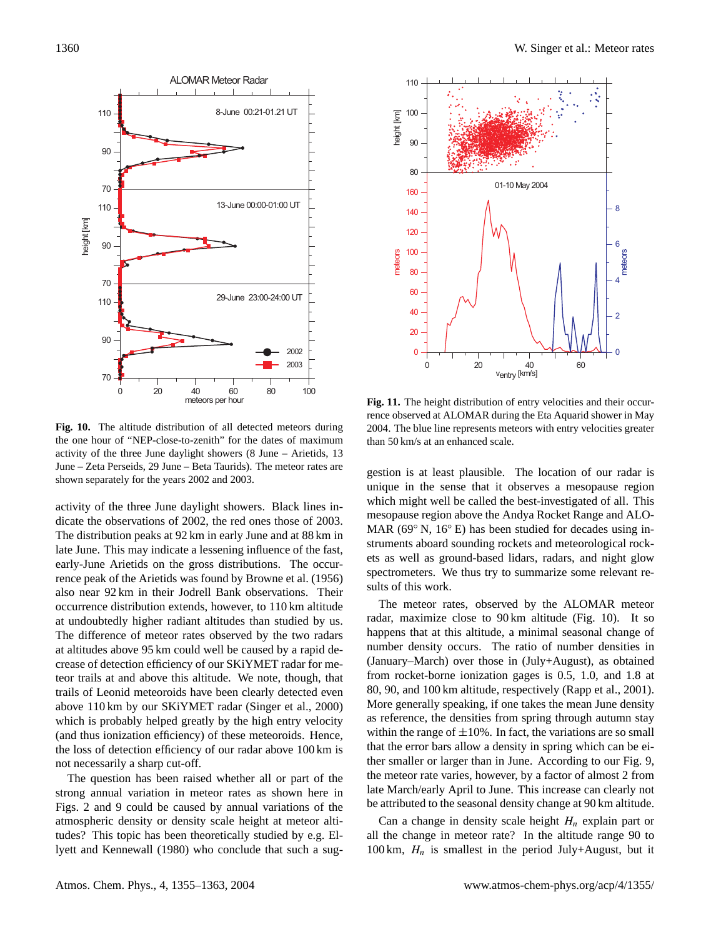

**Fig. 10.** The altitude distribution of all detected meteors during the one hour of "NEP-close-to-zenith" for the dates of maximum activity of the three June daylight showers (8 June – Arietids, 13 June – Zeta Perseids, 29 June – Beta Taurids). The meteor rates are shown separately for the years 2002 and 2003.

activity of the three June daylight showers. Black lines indicate the observations of 2002, the red ones those of 2003. The distribution peaks at 92 km in early June and at 88 km in late June. This may indicate a lessening influence of the fast, early-June Arietids on the gross distributions. The occurrence peak of the Arietids was found by Browne et al. (1956) also near 92 km in their Jodrell Bank observations. Their occurrence distribution extends, however, to 110 km altitude at undoubtedly higher radiant altitudes than studied by us. The difference of meteor rates observed by the two radars at altitudes above 95 km could well be caused by a rapid decrease of detection efficiency of our SKiYMET radar for meteor trails at and above this altitude. We note, though, that trails of Leonid meteoroids have been clearly detected even above 110 km by our SKiYMET radar (Singer et al., 2000) which is probably helped greatly by the high entry velocity (and thus ionization efficiency) of these meteoroids. Hence, the loss of detection efficiency of our radar above 100 km is not necessarily a sharp cut-off.

The question has been raised whether all or part of the strong annual variation in meteor rates as shown here in Figs. 2 and 9 could be caused by annual variations of the atmospheric density or density scale height at meteor altitudes? This topic has been theoretically studied by e.g. Ellyett and Kennewall (1980) who conclude that such a sug-



Fig. 11. The height distribution of entry velocities and their occurrence observed at ALOMAR during the Eta Aquarid shower in May 2004. The blue line represents meteors with entry velocities greater than 50 km/s at an enhanced scale.

gestion is at least plausible. The location of our radar is unique in the sense that it observes a mesopause region which might well be called the best-investigated of all. This mesopause region above the Andya Rocket Range and ALO-MAR ( $69°$  N,  $16°$  E) has been studied for decades using instruments aboard sounding rockets and meteorological rockets as well as ground-based lidars, radars, and night glow spectrometers. We thus try to summarize some relevant results of this work.

The meteor rates, observed by the ALOMAR meteor radar, maximize close to 90 km altitude (Fig. 10). It so happens that at this altitude, a minimal seasonal change of number density occurs. The ratio of number densities in (January–March) over those in (July+August), as obtained from rocket-borne ionization gages is 0.5, 1.0, and 1.8 at 80, 90, and 100 km altitude, respectively (Rapp et al., 2001). More generally speaking, if one takes the mean June density as reference, the densities from spring through autumn stay within the range of  $\pm 10\%$ . In fact, the variations are so small that the error bars allow a density in spring which can be either smaller or larger than in June. According to our Fig. 9, the meteor rate varies, however, by a factor of almost 2 from late March/early April to June. This increase can clearly not be attributed to the seasonal density change at 90 km altitude.

Can a change in density scale height  $H_n$  explain part or all the change in meteor rate? In the altitude range 90 to 100 km,  $H_n$  is smallest in the period July+August, but it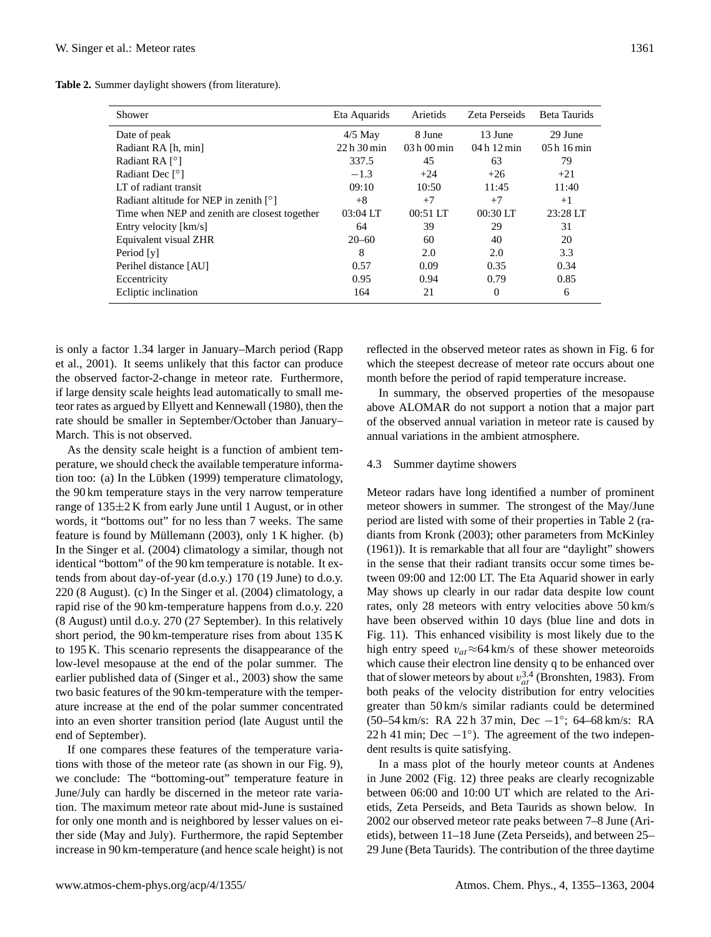| $\frac{1}{2}$       |              |             |               |              |
|---------------------|--------------|-------------|---------------|--------------|
| Shower              | Eta Aquarids | Arietids    | Zeta Perseids | Beta Taurids |
| Date of peak        | $4/5$ May    | 8 June      | 13 June       | 29 June      |
| Radiant RA [h, min] | $22h$ 30 min | $03h00$ min | 04h12min      | 05h16min     |
| Radiant RA [°]      | 337.5        | 45          | 63            | 79           |
| Radiant Dec [°]     | $-1.3$       | $+24$       | $+26$         | $+21$        |

]  $+8$   $+7$   $+7$   $+1$ 

LT of radiant transit 09:10 10:50 11:45 11:40

Time when NEP and zenith are closest together 03:04 LT 00:51 LT 00:30 LT 23:28 LT Entry velocity [km/s] 64 39 29 31 Equivalent visual ZHR  $20-60$  60  $40$  20 Period [y] 8 2.0 2.0 3.3 Perihel distance [AU] 0.57 0.09 0.35 0.34 Eccentricity 0.95 0.94 0.79 0.85 Ecliptic inclination 164 21 0 6

is only a factor 1.34 larger in January–March period (Rapp et al., 2001). It seems unlikely that this factor can produce the observed factor-2-change in meteor rate. Furthermore, if large density scale heights lead automatically to small meteor rates as argued by Ellyett and Kennewall (1980), then the rate should be smaller in September/October than January– March. This is not observed.

Radiant altitude for NEP in zenith [◦

As the density scale height is a function of ambient temperature, we should check the available temperature information too: (a) In the Lübken  $(1999)$  temperature climatology, the 90 km temperature stays in the very narrow temperature range of 135±2 K from early June until 1 August, or in other words, it "bottoms out" for no less than 7 weeks. The same feature is found by Müllemann  $(2003)$ , only 1 K higher. (b) In the Singer et al. (2004) climatology a similar, though not identical "bottom" of the 90 km temperature is notable. It extends from about day-of-year (d.o.y.) 170 (19 June) to d.o.y. 220 (8 August). (c) In the Singer et al. (2004) climatology, a rapid rise of the 90 km-temperature happens from d.o.y. 220 (8 August) until d.o.y. 270 (27 September). In this relatively short period, the 90 km-temperature rises from about 135 K to 195 K. This scenario represents the disappearance of the low-level mesopause at the end of the polar summer. The earlier published data of (Singer et al., 2003) show the same two basic features of the 90 km-temperature with the temperature increase at the end of the polar summer concentrated into an even shorter transition period (late August until the end of September).

If one compares these features of the temperature variations with those of the meteor rate (as shown in our Fig. 9), we conclude: The "bottoming-out" temperature feature in June/July can hardly be discerned in the meteor rate variation. The maximum meteor rate about mid-June is sustained for only one month and is neighbored by lesser values on either side (May and July). Furthermore, the rapid September increase in 90 km-temperature (and hence scale height) is not reflected in the observed meteor rates as shown in Fig. 6 for which the steepest decrease of meteor rate occurs about one month before the period of rapid temperature increase.

In summary, the observed properties of the mesopause above ALOMAR do not support a notion that a major part of the observed annual variation in meteor rate is caused by annual variations in the ambient atmosphere.

#### 4.3 Summer daytime showers

Meteor radars have long identified a number of prominent meteor showers in summer. The strongest of the May/June period are listed with some of their properties in Table 2 (radiants from Kronk (2003); other parameters from McKinley (1961)). It is remarkable that all four are "daylight" showers in the sense that their radiant transits occur some times between 09:00 and 12:00 LT. The Eta Aquarid shower in early May shows up clearly in our radar data despite low count rates, only 28 meteors with entry velocities above 50 km/s have been observed within 10 days (blue line and dots in Fig. 11). This enhanced visibility is most likely due to the high entry speed  $v_{at} \approx 64 \text{ km/s}$  of these shower meteoroids which cause their electron line density q to be enhanced over that of slower meteors by about  $v_{at}^{3.4}$  (Bronshten, 1983). From both peaks of the velocity distribution for entry velocities greater than 50 km/s similar radiants could be determined (50–54 km/s: RA 22 h 37 min, Dec −1 ◦ ; 64–68 km/s: RA  $22 h 41 min$ ; Dec  $-1^{\circ}$ ). The agreement of the two independent results is quite satisfying.

In a mass plot of the hourly meteor counts at Andenes in June 2002 (Fig. 12) three peaks are clearly recognizable between 06:00 and 10:00 UT which are related to the Arietids, Zeta Perseids, and Beta Taurids as shown below. In 2002 our observed meteor rate peaks between 7–8 June (Arietids), between 11–18 June (Zeta Perseids), and between 25– 29 June (Beta Taurids). The contribution of the three daytime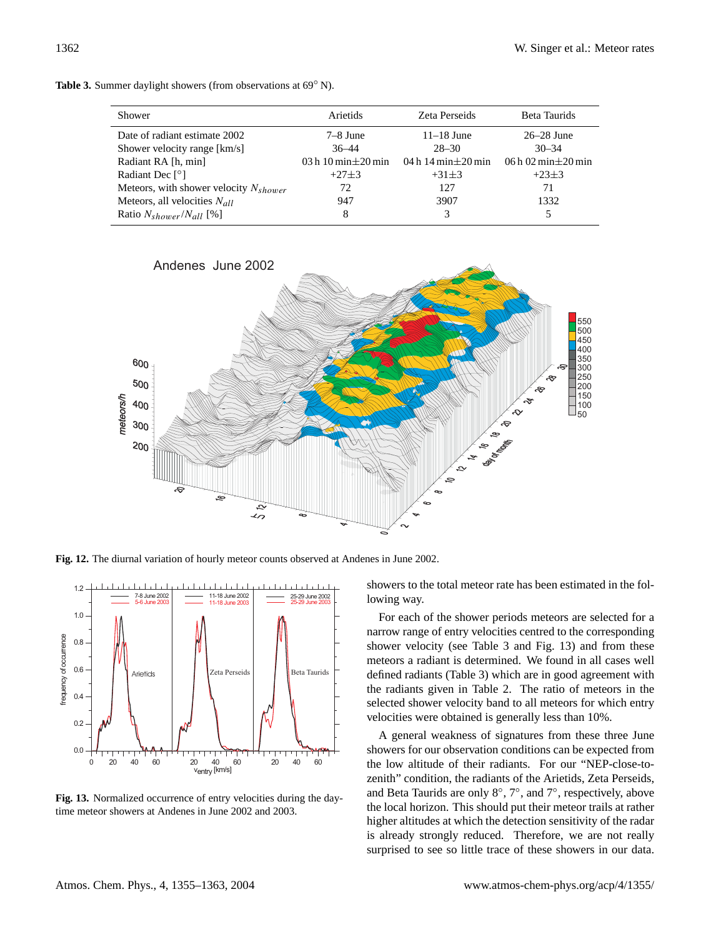**Table 3.** Summer daylight showers (from observations at 69◦ N).

| Shower                                     | Arietids                                 | Zeta Perseids                            | Beta Taurids             |
|--------------------------------------------|------------------------------------------|------------------------------------------|--------------------------|
| Date of radiant estimate 2002              | $7-8$ June                               | $11-18$ June                             | $26-28$ June             |
| Shower velocity range [km/s]               | $36 - 44$                                | $28 - 30$                                | $30 - 34$                |
| Radiant RA [h, min]                        | 03 h $10 \text{ min} \pm 20 \text{ min}$ | 04 h $14 \text{ min} \pm 20 \text{ min}$ | 06 h 02 min $\pm$ 20 min |
| Radiant Dec $\lceil \circ \rceil$          | $+27\pm3$                                | $+31\pm3$                                | $+23\pm3$                |
| Meteors, with shower velocity $N_{shower}$ | 72                                       | 127                                      | 71                       |
| Meteors, all velocities $N_{all}$          | 947                                      | 3907                                     | 1332                     |
| Ratio $N_{shower}/N_{all}$ [%]             | 8                                        | 3                                        | 5                        |



**Fig. 12.** The diurnal variation of hourly meteor counts observed at Andenes in June 2002.



**Fig. 13.** Normalized occurrence of entry velocities during the daytime meteor showers at Andenes in June 2002 and 2003.

showers to the total meteor rate has been estimated in the following way.

For each of the shower periods meteors are selected for a narrow range of entry velocities centred to the corresponding shower velocity (see Table 3 and Fig. 13) and from these meteors a radiant is determined. We found in all cases well defined radiants (Table 3) which are in good agreement with the radiants given in Table 2. The ratio of meteors in the selected shower velocity band to all meteors for which entry velocities were obtained is generally less than 10%.

A general weakness of signatures from these three June showers for our observation conditions can be expected from the low altitude of their radiants. For our "NEP-close-tozenith" condition, the radiants of the Arietids, Zeta Perseids, and Beta Taurids are only 8°, 7°, and 7°, respectively, above the local horizon. This should put their meteor trails at rather higher altitudes at which the detection sensitivity of the radar is already strongly reduced. Therefore, we are not really surprised to see so little trace of these showers in our data.